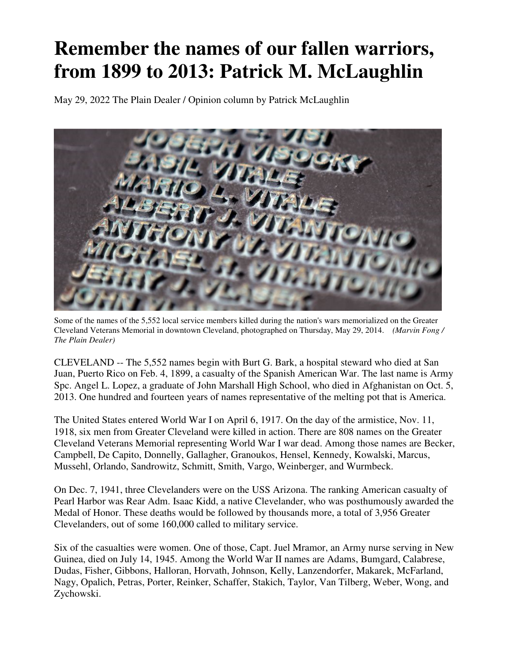## **Remember the names of our fallen warriors, from 1899 to 2013: Patrick M. McLaughlin**

May 29, 2022 The Plain Dealer / Opinion column by Patrick McLaughlin



Some of the names of the 5,552 local service members killed during the nation's wars memorialized on the Greater Cleveland Veterans Memorial in downtown Cleveland, photographed on Thursday, May 29, 2014. *(Marvin Fong / The Plain Dealer)* 

CLEVELAND -- The 5,552 names begin with Burt G. Bark, a hospital steward who died at San Juan, Puerto Rico on Feb. 4, 1899, a casualty of the Spanish American War. The last name is Army Spc. Angel L. Lopez, a graduate of John Marshall High School, who died in Afghanistan on Oct. 5, 2013. One hundred and fourteen years of names representative of the melting pot that is America.

The United States entered World War I on April 6, 1917. On the day of the armistice, Nov. 11, 1918, six men from Greater Cleveland were killed in action. There are 808 names on the Greater Cleveland Veterans Memorial representing World War I war dead. Among those names are Becker, Campbell, De Capito, Donnelly, Gallagher, Granoukos, Hensel, Kennedy, Kowalski, Marcus, Mussehl, Orlando, Sandrowitz, Schmitt, Smith, Vargo, Weinberger, and Wurmbeck.

On Dec. 7, 1941, three Clevelanders were on the USS Arizona. The ranking American casualty of Pearl Harbor was Rear Adm. Isaac Kidd, a native Clevelander, who was posthumously awarded the Medal of Honor. These deaths would be followed by thousands more, a total of 3,956 Greater Clevelanders, out of some 160,000 called to military service.

Six of the casualties were women. One of those, Capt. Juel Mramor, an Army nurse serving in New Guinea, died on July 14, 1945. Among the World War II names are Adams, Bumgard, Calabrese, Dudas, Fisher, Gibbons, Halloran, Horvath, Johnson, Kelly, Lanzendorfer, Makarek, McFarland, Nagy, Opalich, Petras, Porter, Reinker, Schaffer, Stakich, Taylor, Van Tilberg, Weber, Wong, and Zychowski.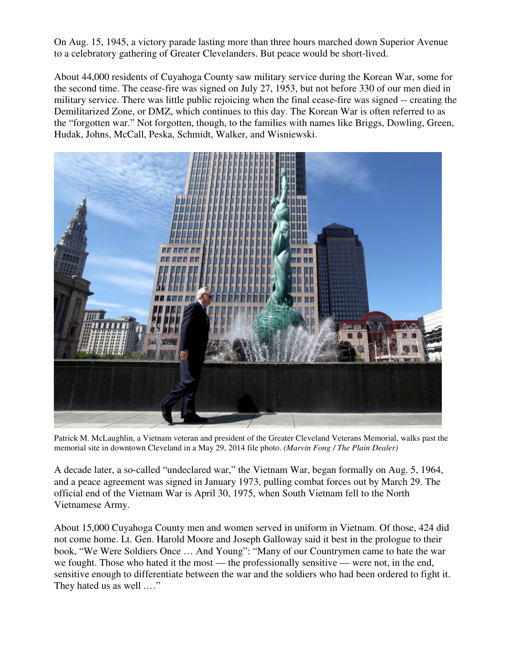On Aug. 15, 1945, a victory parade lasting more than three hours marched down Superior Avenue to a celebratory gathering of Greater Clevelanders. But peace would be short-lived.

About 44,000 residents of Cuyahoga County saw military service during the Korean War, some for the second time. The cease-fire was signed on July 27, 1953, but not before 330 of our men died in military service. There was little public rejoicing when the final cease-fire was signed -- creating the Demilitarized Zone, or DMZ, which continues to this day. The Korean War is often referred to as the "forgotten war." Not forgotten, though, to the families with names like Briggs, Dowling, Green, Hudak, Johns, McCall, Peska, Schmidt, Walker, and Wisniewski.



Patrick M. McLaughlin, a Vietnam veteran and president of the Greater Cleveland Veterans Memorial, walks past the memorial site in downtown Cleveland in a May 29, 2014 file photo. *(Marvin Fong / The Plain Dealer)*

A decade later, a so-called "undeclared war," the Vietnam War, began formally on Aug. 5, 1964, and a peace agreement was signed in January 1973, pulling combat forces out by March 29. The official end of the Vietnam War is April 30, 1975, when South Vietnam fell to the North Vietnamese Army.

About 15,000 Cuyahoga County men and women served in uniform in Vietnam. Of those, 424 did not come home. Lt. Gen. Harold Moore and Joseph Galloway said it best in the prologue to their book, "We Were Soldiers Once … And Young": "Many of our Countrymen came to hate the war we fought. Those who hated it the most — the professionally sensitive — were not, in the end, sensitive enough to differentiate between the war and the soldiers who had been ordered to fight it. They hated us as well .…"